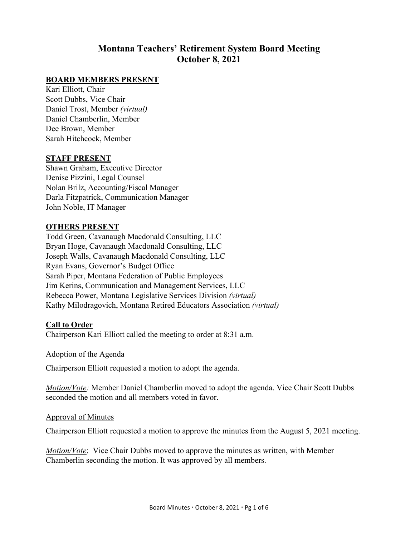# **Montana Teachers' Retirement System Board Meeting October 8, 2021**

### **BOARD MEMBERS PRESENT**

Kari Elliott, Chair Scott Dubbs, Vice Chair Daniel Trost, Member *(virtual)* Daniel Chamberlin, Member Dee Brown, Member Sarah Hitchcock, Member

#### **STAFF PRESENT**

Shawn Graham, Executive Director Denise Pizzini, Legal Counsel Nolan Brilz, Accounting/Fiscal Manager Darla Fitzpatrick, Communication Manager John Noble, IT Manager

#### **OTHERS PRESENT**

Todd Green, Cavanaugh Macdonald Consulting, LLC Bryan Hoge, Cavanaugh Macdonald Consulting, LLC Joseph Walls, Cavanaugh Macdonald Consulting, LLC Ryan Evans, Governor's Budget Office Sarah Piper, Montana Federation of Public Employees Jim Kerins, Communication and Management Services, LLC Rebecca Power, Montana Legislative Services Division *(virtual)* Kathy Milodragovich, Montana Retired Educators Association *(virtual)*

#### **Call to Order**

Chairperson Kari Elliott called the meeting to order at 8:31 a.m.

#### Adoption of the Agenda

Chairperson Elliott requested a motion to adopt the agenda.

*Motion/Vote:* Member Daniel Chamberlin moved to adopt the agenda. Vice Chair Scott Dubbs seconded the motion and all members voted in favor.

#### Approval of Minutes

Chairperson Elliott requested a motion to approve the minutes from the August 5, 2021 meeting.

*Motion/Vote*: Vice Chair Dubbs moved to approve the minutes as written, with Member Chamberlin seconding the motion. It was approved by all members.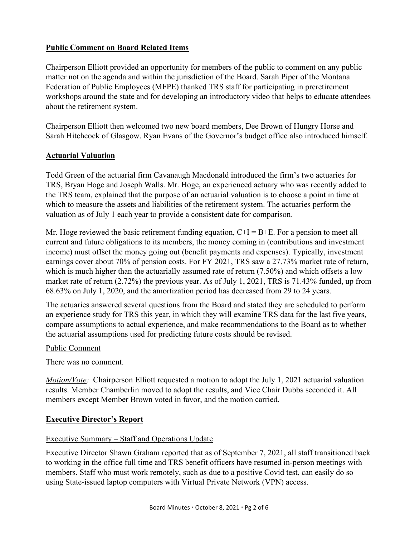# **Public Comment on Board Related Items**

Chairperson Elliott provided an opportunity for members of the public to comment on any public matter not on the agenda and within the jurisdiction of the Board. Sarah Piper of the Montana Federation of Public Employees (MFPE) thanked TRS staff for participating in preretirement workshops around the state and for developing an introductory video that helps to educate attendees about the retirement system.

Chairperson Elliott then welcomed two new board members, Dee Brown of Hungry Horse and Sarah Hitchcock of Glasgow. Ryan Evans of the Governor's budget office also introduced himself.

# **Actuarial Valuation**

Todd Green of the actuarial firm Cavanaugh Macdonald introduced the firm's two actuaries for TRS, Bryan Hoge and Joseph Walls. Mr. Hoge, an experienced actuary who was recently added to the TRS team, explained that the purpose of an actuarial valuation is to choose a point in time at which to measure the assets and liabilities of the retirement system. The actuaries perform the valuation as of July 1 each year to provide a consistent date for comparison.

Mr. Hoge reviewed the basic retirement funding equation,  $C+I = B+E$ . For a pension to meet all current and future obligations to its members, the money coming in (contributions and investment income) must offset the money going out (benefit payments and expenses). Typically, investment earnings cover about 70% of pension costs. For FY 2021, TRS saw a 27.73% market rate of return, which is much higher than the actuarially assumed rate of return (7.50%) and which offsets a low market rate of return (2.72%) the previous year. As of July 1, 2021, TRS is 71.43% funded, up from 68.63% on July 1, 2020, and the amortization period has decreased from 29 to 24 years.

The actuaries answered several questions from the Board and stated they are scheduled to perform an experience study for TRS this year, in which they will examine TRS data for the last five years, compare assumptions to actual experience, and make recommendations to the Board as to whether the actuarial assumptions used for predicting future costs should be revised.

# Public Comment

There was no comment.

*Motion/Vote:* Chairperson Elliott requested a motion to adopt the July 1, 2021 actuarial valuation results. Member Chamberlin moved to adopt the results, and Vice Chair Dubbs seconded it. All members except Member Brown voted in favor, and the motion carried.

# **Executive Director's Report**

# Executive Summary – Staff and Operations Update

Executive Director Shawn Graham reported that as of September 7, 2021, all staff transitioned back to working in the office full time and TRS benefit officers have resumed in-person meetings with members. Staff who must work remotely, such as due to a positive Covid test, can easily do so using State-issued laptop computers with Virtual Private Network (VPN) access.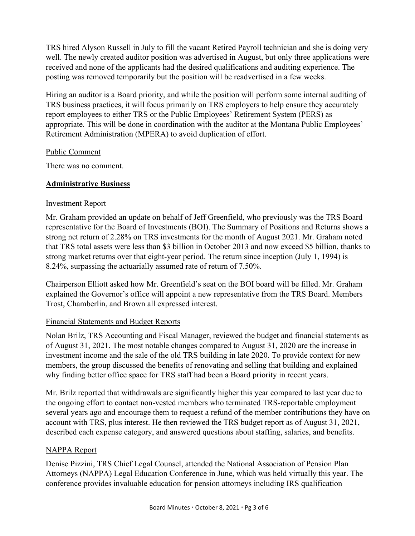TRS hired Alyson Russell in July to fill the vacant Retired Payroll technician and she is doing very well. The newly created auditor position was advertised in August, but only three applications were received and none of the applicants had the desired qualifications and auditing experience. The posting was removed temporarily but the position will be readvertised in a few weeks.

Hiring an auditor is a Board priority, and while the position will perform some internal auditing of TRS business practices, it will focus primarily on TRS employers to help ensure they accurately report employees to either TRS or the Public Employees' Retirement System (PERS) as appropriate. This will be done in coordination with the auditor at the Montana Public Employees' Retirement Administration (MPERA) to avoid duplication of effort.

# Public Comment

There was no comment.

# **Administrative Business**

### Investment Report

Mr. Graham provided an update on behalf of Jeff Greenfield, who previously was the TRS Board representative for the Board of Investments (BOI). The Summary of Positions and Returns shows a strong net return of 2.28% on TRS investments for the month of August 2021. Mr. Graham noted that TRS total assets were less than \$3 billion in October 2013 and now exceed \$5 billion, thanks to strong market returns over that eight-year period. The return since inception (July 1, 1994) is 8.24%, surpassing the actuarially assumed rate of return of 7.50%.

Chairperson Elliott asked how Mr. Greenfield's seat on the BOI board will be filled. Mr. Graham explained the Governor's office will appoint a new representative from the TRS Board. Members Trost, Chamberlin, and Brown all expressed interest.

### Financial Statements and Budget Reports

Nolan Brilz, TRS Accounting and Fiscal Manager, reviewed the budget and financial statements as of August 31, 2021. The most notable changes compared to August 31, 2020 are the increase in investment income and the sale of the old TRS building in late 2020. To provide context for new members, the group discussed the benefits of renovating and selling that building and explained why finding better office space for TRS staff had been a Board priority in recent years.

Mr. Brilz reported that withdrawals are significantly higher this year compared to last year due to the ongoing effort to contact non-vested members who terminated TRS-reportable employment several years ago and encourage them to request a refund of the member contributions they have on account with TRS, plus interest. He then reviewed the TRS budget report as of August 31, 2021, described each expense category, and answered questions about staffing, salaries, and benefits.

# NAPPA Report

Denise Pizzini, TRS Chief Legal Counsel, attended the National Association of Pension Plan Attorneys (NAPPA) Legal Education Conference in June, which was held virtually this year. The conference provides invaluable education for pension attorneys including IRS qualification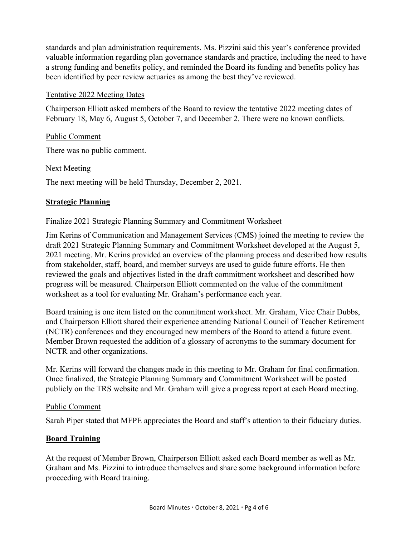standards and plan administration requirements. Ms. Pizzini said this year's conference provided valuable information regarding plan governance standards and practice, including the need to have a strong funding and benefits policy, and reminded the Board its funding and benefits policy has been identified by peer review actuaries as among the best they've reviewed.

### Tentative 2022 Meeting Dates

Chairperson Elliott asked members of the Board to review the tentative 2022 meeting dates of February 18, May 6, August 5, October 7, and December 2. There were no known conflicts.

# Public Comment

There was no public comment.

# Next Meeting

The next meeting will be held Thursday, December 2, 2021.

# **Strategic Planning**

# Finalize 2021 Strategic Planning Summary and Commitment Worksheet

Jim Kerins of Communication and Management Services (CMS) joined the meeting to review the draft 2021 Strategic Planning Summary and Commitment Worksheet developed at the August 5, 2021 meeting. Mr. Kerins provided an overview of the planning process and described how results from stakeholder, staff, board, and member surveys are used to guide future efforts. He then reviewed the goals and objectives listed in the draft commitment worksheet and described how progress will be measured. Chairperson Elliott commented on the value of the commitment worksheet as a tool for evaluating Mr. Graham's performance each year.

Board training is one item listed on the commitment worksheet. Mr. Graham, Vice Chair Dubbs, and Chairperson Elliott shared their experience attending National Council of Teacher Retirement (NCTR) conferences and they encouraged new members of the Board to attend a future event. Member Brown requested the addition of a glossary of acronyms to the summary document for NCTR and other organizations.

Mr. Kerins will forward the changes made in this meeting to Mr. Graham for final confirmation. Once finalized, the Strategic Planning Summary and Commitment Worksheet will be posted publicly on the TRS website and Mr. Graham will give a progress report at each Board meeting.

### Public Comment

Sarah Piper stated that MFPE appreciates the Board and staff's attention to their fiduciary duties.

# **Board Training**

At the request of Member Brown, Chairperson Elliott asked each Board member as well as Mr. Graham and Ms. Pizzini to introduce themselves and share some background information before proceeding with Board training.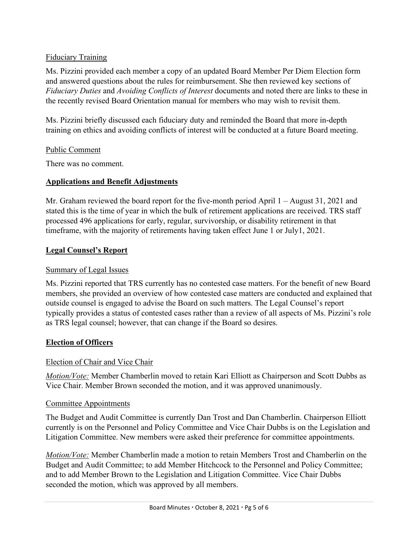# Fiduciary Training

Ms. Pizzini provided each member a copy of an updated Board Member Per Diem Election form and answered questions about the rules for reimbursement. She then reviewed key sections of *Fiduciary Duties* and *Avoiding Conflicts of Interest* documents and noted there are links to these in the recently revised Board Orientation manual for members who may wish to revisit them.

Ms. Pizzini briefly discussed each fiduciary duty and reminded the Board that more in-depth training on ethics and avoiding conflicts of interest will be conducted at a future Board meeting.

### Public Comment

There was no comment.

### **Applications and Benefit Adjustments**

Mr. Graham reviewed the board report for the five-month period April 1 – August 31, 2021 and stated this is the time of year in which the bulk of retirement applications are received. TRS staff processed 496 applications for early, regular, survivorship, or disability retirement in that timeframe, with the majority of retirements having taken effect June 1 or July1, 2021.

### **Legal Counsel's Report**

#### Summary of Legal Issues

Ms. Pizzini reported that TRS currently has no contested case matters. For the benefit of new Board members, she provided an overview of how contested case matters are conducted and explained that outside counsel is engaged to advise the Board on such matters. The Legal Counsel's report typically provides a status of contested cases rather than a review of all aspects of Ms. Pizzini's role as TRS legal counsel; however, that can change if the Board so desires.

### **Election of Officers**

### Election of Chair and Vice Chair

*Motion/Vote:* Member Chamberlin moved to retain Kari Elliott as Chairperson and Scott Dubbs as Vice Chair. Member Brown seconded the motion, and it was approved unanimously.

### Committee Appointments

The Budget and Audit Committee is currently Dan Trost and Dan Chamberlin. Chairperson Elliott currently is on the Personnel and Policy Committee and Vice Chair Dubbs is on the Legislation and Litigation Committee. New members were asked their preference for committee appointments.

*Motion/Vote:* Member Chamberlin made a motion to retain Members Trost and Chamberlin on the Budget and Audit Committee; to add Member Hitchcock to the Personnel and Policy Committee; and to add Member Brown to the Legislation and Litigation Committee. Vice Chair Dubbs seconded the motion, which was approved by all members.